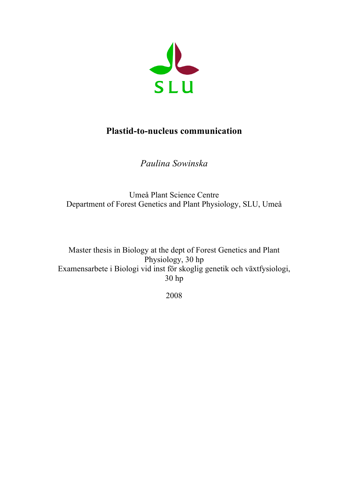

# **Plastid-to-nucleus communication**

*Paulina Sowinska*

Umeå Plant Science Centre Department of Forest Genetics and Plant Physiology, SLU, Umeå

Master thesis in Biology at the dept of Forest Genetics and Plant Physiology, 30 hp Examensarbete i Biologi vid inst för skoglig genetik och växtfysiologi, 30 hp

2008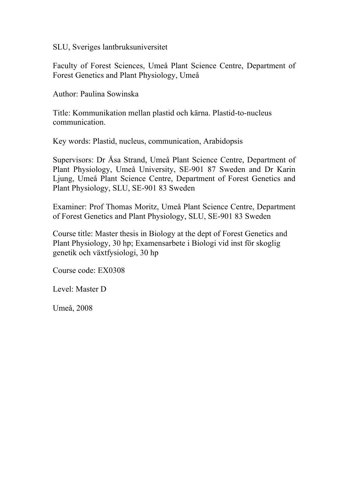SLU, Sveriges lantbruksuniversitet

Faculty of Forest Sciences, Umeå Plant Science Centre, Department of Forest Genetics and Plant Physiology, Umeå

Author: Paulina Sowinska

Title: Kommunikation mellan plastid och kärna. Plastid-to-nucleus communication.

Key words: Plastid, nucleus, communication, Arabidopsis

Supervisors: Dr Åsa Strand, Umeå Plant Science Centre, Department of Plant Physiology, Umeå University, SE-901 87 Sweden and Dr Karin Ljung, Umeå Plant Science Centre, Department of Forest Genetics and Plant Physiology, SLU, SE-901 83 Sweden

Examiner: Prof Thomas Moritz, Umeå Plant Science Centre, Department of Forest Genetics and Plant Physiology, SLU, SE-901 83 Sweden

Course title: Master thesis in Biology at the dept of Forest Genetics and Plant Physiology, 30 hp; Examensarbete i Biologi vid inst för skoglig genetik och växtfysiologi, 30 hp

Course code: EX0308

Level: Master D

Umeå, 2008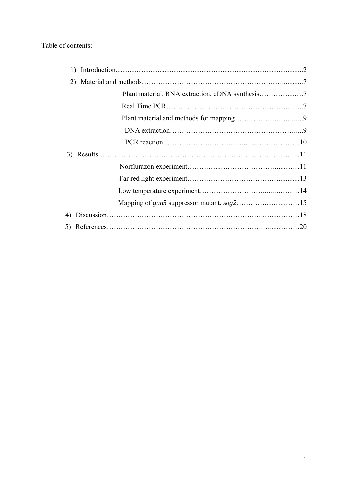# Table of contents:

| 1) |  |
|----|--|
|    |  |
|    |  |
|    |  |
|    |  |
|    |  |
|    |  |
| 3) |  |
|    |  |
|    |  |
|    |  |
|    |  |
| 4) |  |
|    |  |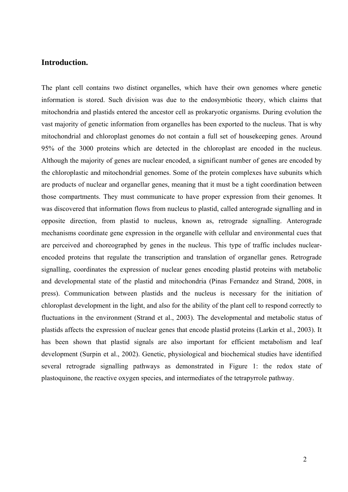# **Introduction.**

The plant cell contains two distinct organelles, which have their own genomes where genetic information is stored. Such division was due to the endosymbiotic theory, which claims that mitochondria and plastids entered the ancestor cell as prokaryotic organisms. During evolution the vast majority of genetic information from organelles has been exported to the nucleus. That is why mitochondrial and chloroplast genomes do not contain a full set of housekeeping genes. Around 95% of the 3000 proteins which are detected in the chloroplast are encoded in the nucleus. Although the majority of genes are nuclear encoded, a significant number of genes are encoded by the chloroplastic and mitochondrial genomes. Some of the protein complexes have subunits which are products of nuclear and organellar genes, meaning that it must be a tight coordination between those compartments. They must communicate to have proper expression from their genomes. It was discovered that information flows from nucleus to plastid, called anterograde signalling and in opposite direction, from plastid to nucleus, known as, retrograde signalling. Anterograde mechanisms coordinate gene expression in the organelle with cellular and environmental cues that are perceived and choreographed by genes in the nucleus. This type of traffic includes nuclearencoded proteins that regulate the transcription and translation of organellar genes. Retrograde signalling, coordinates the expression of nuclear genes encoding plastid proteins with metabolic and developmental state of the plastid and mitochondria (Pinas Fernandez and Strand, 2008, in press). Communication between plastids and the nucleus is necessary for the initiation of chloroplast development in the light, and also for the ability of the plant cell to respond correctly to fluctuations in the environment (Strand et al., 2003). The developmental and metabolic status of plastids affects the expression of nuclear genes that encode plastid proteins (Larkin et al., 2003). It has been shown that plastid signals are also important for efficient metabolism and leaf development (Surpin et al., 2002). Genetic, physiological and biochemical studies have identified several retrograde signalling pathways as demonstrated in Figure 1: the redox state of plastoquinone, the reactive oxygen species, and intermediates of the tetrapyrrole pathway.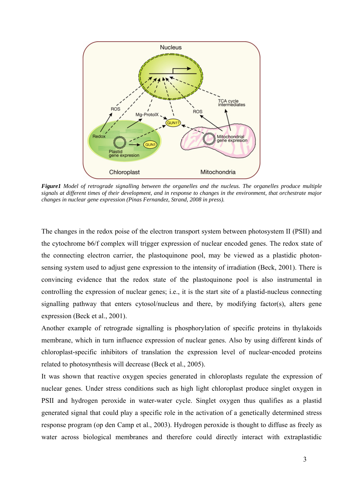

*Figure1 Model of retrograde signalling between the organelles and the nucleus. The organelles produce multiple signals at different times of their development, and in response to changes in the environment, that orchestrate major changes in nuclear gene expression (Pinas Fernandez, Strand, 2008 in press).*

The changes in the redox poise of the electron transport system between photosystem II (PSII) and the cytochrome b6/f complex will trigger expression of nuclear encoded genes. The redox state of the connecting electron carrier, the plastoquinone pool, may be viewed as a plastidic photonsensing system used to adjust gene expression to the intensity of irradiation (Beck, 2001). There is convincing evidence that the redox state of the plastoquinone pool is also instrumental in controlling the expression of nuclear genes; i.e., it is the start site of a plastid-nucleus connecting signalling pathway that enters cytosol/nucleus and there, by modifying factor(s), alters gene expression (Beck et al., 2001).

Another example of retrograde signalling is phosphorylation of specific proteins in thylakoids membrane, which in turn influence expression of nuclear genes. Also by using different kinds of chloroplast-specific inhibitors of translation the expression level of nuclear-encoded proteins related to photosynthesis will decrease (Beck et al., 2005).

It was shown that reactive oxygen species generated in chloroplasts regulate the expression of nuclear genes. Under stress conditions such as high light chloroplast produce singlet oxygen in PSII and hydrogen peroxide in water-water cycle. Singlet oxygen thus qualifies as a plastid generated signal that could play a specific role in the activation of a genetically determined stress response program (op den Camp et al., 2003). Hydrogen peroxide is thought to diffuse as freely as water across biological membranes and therefore could directly interact with extraplastidic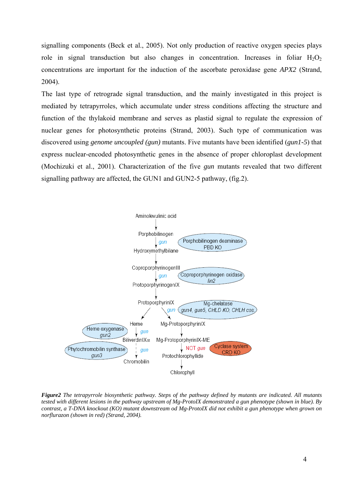signalling components (Beck et al., 2005). Not only production of reactive oxygen species plays role in signal transduction but also changes in concentration. Increases in foliar  $H_2O_2$ concentrations are important for the induction of the ascorbate peroxidase gene *APX2* (Strand, 2004).

The last type of retrograde signal transduction, and the mainly investigated in this project is mediated by tetrapyrroles, which accumulate under stress conditions affecting the structure and function of the thylakoid membrane and serves as plastid signal to regulate the expression of nuclear genes for photosynthetic proteins (Strand, 2003). Such type of communication was discovered using *genome uncoupled (gun)* mutants. Five mutants have been identified (*gun1-5*) that express nuclear-encoded photosynthetic genes in the absence of proper chloroplast development (Mochizuki et al., 2001). Characterization of the five *gun* mutants revealed that two different signalling pathway are affected, the GUN1 and GUN2-5 pathway, (fig.2).



*Figure2 The tetrapyrrole biosynthetic pathway. Steps of the pathway defined by mutants are indicated. All mutants tested with different lesions in the pathway upstream of Mg-ProtoIX demonstrated a gun phenotype (shown in blue). By contrast, a T-DNA knockout (KO) mutant downstream od Mg-ProtoIX did not exhibit a gun phenotype when grown on norflurazon (shown in red) (Strand, 2004).*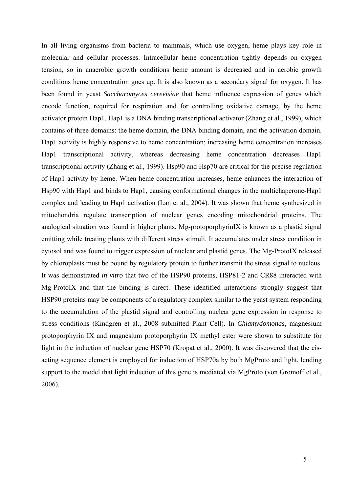In all living organisms from bacteria to mammals, which use oxygen, heme plays key role in molecular and cellular processes. Intracellular heme concentration tightly depends on oxygen tension, so in anaerobic growth conditions heme amount is decreased and in aerobic growth conditions heme concentration goes up. It is also known as a secondary signal for oxygen. It has been found in yeast *Saccharomyces cerevisiae* that heme influence expression of genes which encode function, required for respiration and for controlling oxidative damage, by the heme activator protein Hap1. Hap1 is a DNA binding transcriptional activator (Zhang et al., 1999), which contains of three domains: the heme domain, the DNA binding domain, and the activation domain. Hap1 activity is highly responsive to heme concentration; increasing heme concentration increases Hap1 transcriptional activity, whereas decreasing heme concentration decreases Hap1 transcriptional activity (Zhang et al., 1999). Hsp90 and Hsp70 are critical for the precise regulation of Hap1 activity by heme. When heme concentration increases, heme enhances the interaction of Hsp90 with Hap1 and binds to Hap1, causing conformational changes in the multichaperone-Hap1 complex and leading to Hap1 activation (Lan et al., 2004). It was shown that heme synthesized in mitochondria regulate transcription of nuclear genes encoding mitochondrial proteins. The analogical situation was found in higher plants. Mg-protoporphyrinIX is known as a plastid signal emitting while treating plants with different stress stimuli. It accumulates under stress condition in cytosol and was found to trigger expression of nuclear and plastid genes. The Mg-ProtoIX released by chloroplasts must be bound by regulatory protein to further transmit the stress signal to nucleus. It was demonstrated *in vitro* that two of the HSP90 proteins, HSP81-2 and CR88 interacted with Mg-ProtoIX and that the binding is direct. These identified interactions strongly suggest that HSP90 proteins may be components of a regulatory complex similar to the yeast system responding to the accumulation of the plastid signal and controlling nuclear gene expression in response to stress conditions (Kindgren et al., 2008 submitted Plant Cell). In *Chlamydomonas*, magnesium protoporphyrin IX and magnesium protoporphyrin IX methyl ester were shown to substitute for light in the induction of nuclear gene HSP70 (Kropat et al., 2000). It was discovered that the cisacting sequence element is employed for induction of HSP70a by both MgProto and light, lending support to the model that light induction of this gene is mediated via MgProto (von Gromoff et al., 2006).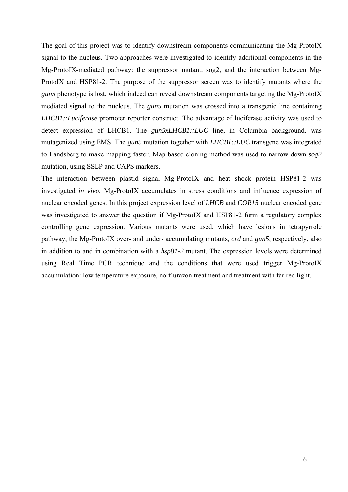The goal of this project was to identify downstream components communicating the Mg-ProtoIX signal to the nucleus. Two approaches were investigated to identify additional components in the Mg-ProtoIX-mediated pathway: the suppressor mutant, sog2, and the interaction between Mg-ProtoIX and HSP81-2. The purpose of the suppressor screen was to identify mutants where the *gun5* phenotype is lost, which indeed can reveal downstream components targeting the Mg-ProtoIX mediated signal to the nucleus. The *gun5* mutation was crossed into a transgenic line containing *LHCB1::Luciferase* promoter reporter construct. The advantage of luciferase activity was used to detect expression of LHCB1. The *gun5xLHCB1::LUC* line, in Columbia background, was mutagenized using EMS. The *gun5* mutation together with *LHCB1::LUC* transgene was integrated to Landsberg to make mapping faster. Map based cloning method was used to narrow down *sog2* mutation, using SSLP and CAPS markers.

The interaction between plastid signal Mg-ProtoIX and heat shock protein HSP81-2 was investigated *in vivo*. Mg-ProtoIX accumulates in stress conditions and influence expression of nuclear encoded genes. In this project expression level of *LHCB* and *COR15* nuclear encoded gene was investigated to answer the question if Mg-ProtoIX and HSP81-2 form a regulatory complex controlling gene expression. Various mutants were used, which have lesions in tetrapyrrole pathway, the Mg-ProtoIX over- and under- accumulating mutants, *crd* and *gun5*, respectively, also in addition to and in combination with a *hsp81-2* mutant. The expression levels were determined using Real Time PCR technique and the conditions that were used trigger Mg-ProtoIX accumulation: low temperature exposure, norflurazon treatment and treatment with far red light.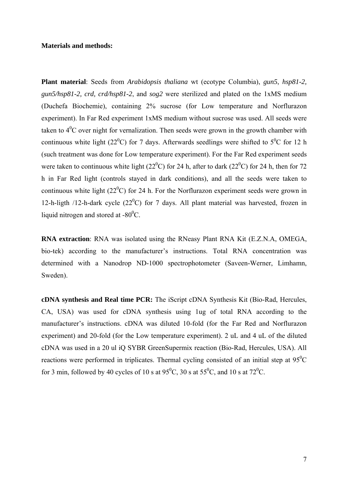# **Materials and methods:**

**Plant material**: Seeds from *Arabidopsis thaliana* wt (ecotype Columbia), *gun5*, *hsp81-2, gun5/hsp81-2, crd, crd/hsp81-2*, and *sog2* were sterilized and plated on the 1xMS medium (Duchefa Biochemie), containing 2% sucrose (for Low temperature and Norflurazon experiment). In Far Red experiment 1xMS medium without sucrose was used. All seeds were taken to  $4^0C$  over night for vernalization. Then seeds were grown in the growth chamber with continuous white light (22<sup>0</sup>C) for 7 days. Afterwards seedlings were shifted to 5<sup>0</sup>C for 12 h (such treatment was done for Low temperature experiment). For the Far Red experiment seeds were taken to continuous white light (22<sup>0</sup>C) for 24 h, after to dark (22<sup>0</sup>C) for 24 h, then for 72 h in Far Red light (controls stayed in dark conditions), and all the seeds were taken to continuous white light  $(22^{\circ}C)$  for 24 h. For the Norflurazon experiment seeds were grown in 12-h-ligth /12-h-dark cycle  $(22<sup>0</sup>C)$  for 7 days. All plant material was harvested, frozen in liquid nitrogen and stored at  $-80^{\circ}$ C.

**RNA extraction**: RNA was isolated using the RNeasy Plant RNA Kit (E.Z.N.A, OMEGA, bio-tek) according to the manufacturer's instructions. Total RNA concentration was determined with a Nanodrop ND-1000 spectrophotometer (Saveen-Werner, Limhamn, Sweden).

**cDNA synthesis and Real time PCR:** The iScript cDNA Synthesis Kit (Bio-Rad, Hercules, CA, USA) was used for cDNA synthesis using 1ug of total RNA according to the manufacturer's instructions. cDNA was diluted 10-fold (for the Far Red and Norflurazon experiment) and 20-fold (for the Low temperature experiment). 2 uL and 4 uL of the diluted cDNA was used in a 20 ul iQ SYBR GreenSupermix reaction (Bio-Rad, Hercules, USA). All reactions were performed in triplicates. Thermal cycling consisted of an initial step at  $95^{\circ}$ C for 3 min, followed by 40 cycles of 10 s at  $95^{\circ}$ C, 30 s at  $55^{\circ}$ C, and 10 s at  $72^{\circ}$ C.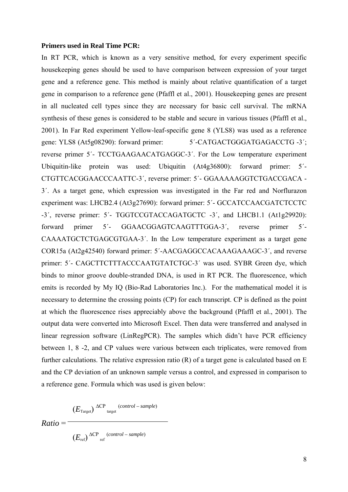#### **Primers used in Real Time PCR:**

In RT PCR, which is known as a very sensitive method, for every experiment specific housekeeping genes should be used to have comparison between expression of your target gene and a reference gene. This method is mainly about relative quantification of a target gene in comparison to a reference gene (Pfaffl et al., 2001). Housekeeping genes are present in all nucleated cell types since they are necessary for basic cell survival. The mRNA synthesis of these genes is considered to be stable and secure in various tissues (Pfaffl et al., 2001). In Far Red experiment Yellow-leaf-specific gene 8 (YLS8) was used as a reference gene: YLS8 (At5g08290): forward primer: 5<sup>'</sup>-CATGACTGGGATGAGACCTG -3<sup>'</sup>; reverse primer 5´- TCCTGAAGAACATGAGGC-3´. For the Low temperature experiment Ubiquitin-like protein was used: Ubiquitin (At4g36800): forward primer: 5´- CTGTTCACGGAACCCAATTC-3´, reverse primer: 5´- GGAAAAAGGTCTGACCGACA - 3´. As a target gene, which expression was investigated in the Far red and Norflurazon experiment was: LHCB2.4 (At3g27690): forward primer: 5´- GCCATCCAACGATCTCCTC -3´, reverse primer: 5´- TGGTCCGTACCAGATGCTC -3´, and LHCB1.1 (At1g29920): forward primer 5´- GGAACGGAGTCAAGTTTGGA-3´, reverse primer 5´- CAAAATGCTCTGAGCGTGAA-3´. In the Low temperature experiment as a target gene COR15a (At2g42540) forward primer: 5´-AACGAGGCCACAAAGAAAGC-3´, and reverse primer: 5<sup>'</sup>- CAGCTTCTTTACCCAATGTATCTGC-3<sup>'</sup> was used. SYBR Green dye, which binds to minor groove double-stranded DNA, is used in RT PCR. The fluorescence, which emits is recorded by My IQ (Bio-Rad Laboratories Inc.). For the mathematical model it is necessary to determine the crossing points (CP) for each transcript. CP is defined as the point at which the fluorescence rises appreciably above the background (Pfaffl et al., 2001). The output data were converted into Microsoft Excel. Then data were transferred and analysed in linear regression software (LinRegPCR). The samples which didn't have PCR efficiency between 1, 8 -2, and CP values were various between each triplicates, were removed from further calculations. The relative expression ratio (R) of a target gene is calculated based on E and the CP deviation of an unknown sample versus a control, and expressed in comparison to a reference gene. Formula which was used is given below:

$$
Ratio = \frac{(E_{Target})^{\Delta CP}^{(control - sample)}}{(E_{ref})^{\Delta CP}^{(control - sample)}}
$$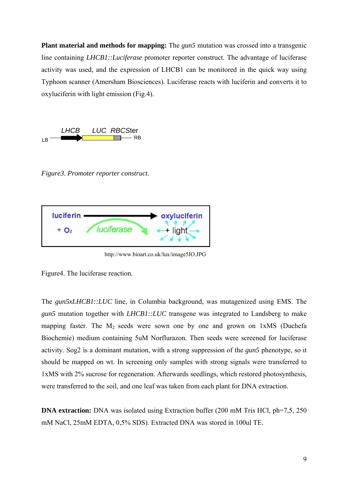**Plant material and methods for mapping:** The *gun5* mutation was crossed into a transgenic line containing *LHCB1::Luciferase* promoter reporter construct. The advantage of luciferase activity was used, and the expression of LHCB1 can be monitored in the quick way using Typhoon scanner (Amersham Biosciences). Luciferase reacts with luciferin and converts it to oxyluciferin with light emission (Fig.4).



*Figure3. Promoter reporter construct*.



http://www.bioart.co.uk/lux/image5IO.JPG

Figure4. The luciferase reaction.

The *gun5xLHCB1::LUC* line, in Columbia background, was mutagenized using EMS. The *gun5* mutation together with *LHCB1::LUC* transgene was integrated to Landsberg to make mapping faster. The  $M_2$  seeds were sown one by one and grown on 1xMS (Duchefa Biochemie) medium containing 5uM Norflurazon. Then seeds were screened for luciferase activity. Sog2 is a dominant mutation, with a strong suppression of the *gun5* phenotype, so it should be mapped on wt. In screening only samples with strong signals were transferred to 1xMS with 2% sucrose for regeneration. Afterwards seedlings, which restored photosynthesis, were transferred to the soil, and one leaf was taken from each plant for DNA extraction.

**DNA extraction:** DNA was isolated using Extraction buffer (200 mM Tris HCl, ph=7,5, 250) mM NaCl, 25mM EDTA, 0,5% SDS). Extracted DNA was stored in 100ul TE.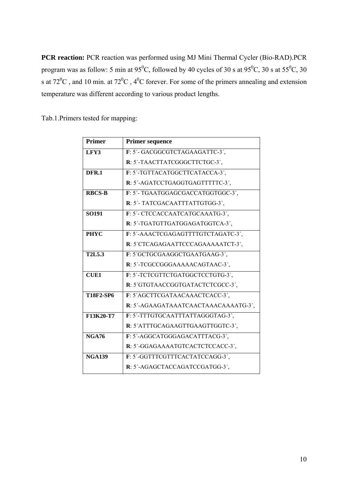**PCR reaction:** PCR reaction was performed using MJ Mini Thermal Cycler (Bio-RAD).PCR program was as follow: 5 min at 95<sup>0</sup>C, followed by 40 cycles of 30 s at 95<sup>0</sup>C, 30 s at 55<sup>0</sup>C, 30 s at  $72^{\circ}$ C, and 10 min. at  $72^{\circ}$ C,  $4^{\circ}$ C forever. For some of the primers annealing and extension temperature was different according to various product lengths.

| Tab.1. Primers tested for mapping: |  |  |
|------------------------------------|--|--|
|                                    |  |  |

| <b>Primer</b>    | <b>Primer sequence</b>               |
|------------------|--------------------------------------|
| LFY3             | F: 5'- GACGGCGTCTAGAAGATTC-3',       |
|                  | R: 5'-TAACTTATCGGGCTTCTGC-3',        |
| DFR.1            | F: 5'-TGTTACATGGCTTCATACCA-3',       |
|                  | R: 5'-AGATCCTGAGGTGAGTTTTTC-3',      |
| <b>RBCS-B</b>    | F: 5'- TGAATGGAGCGACCATGGTGGC-3',    |
|                  | R: 5'- TATCGACAATTTATTGTGG-3',       |
| <b>SO191</b>     | F: 5'- CTCCACCAATCATGCAAATG-3',      |
|                  | R: 5'-TGATGTTGATGGAGATGGTCA-3',      |
| <b>PHYC</b>      | F: 5'-AAACTCGAGAGTTTTGTCTAGATC-3',   |
|                  | R: 5'CTCAGAGAATTCCCAGAAAAATCT-3',    |
| <b>T2L5.3</b>    | F: 5'GCTGCGAAGGCTGAATGAAG-3',        |
|                  | R: 5'-TCGCCGGGAAAAACAGTAAC-3',       |
| <b>CUE1</b>      | F: 5'-TCTCGTTCTGATGGCTCCTGTG-3',     |
|                  | R: 5'GTGTAACCGGTGATACTCTCGCC-3',     |
| <b>T18F2-SP6</b> | F: 5'AGCTTCGATAACAAACTCACC-3',       |
|                  | R: 5'-AGAAGATAAATCAACTAAACAAAATG-3', |
| F13K20-T7        | F: 5'-TTTGTGCAATTTATTAGGGTAG-3',     |
|                  | R: 5'ATTTGCAGAAGTTGAAGTTGGTC-3',     |
| <b>NGA76</b>     | F: 5'-AGGCATGGGAGACATTTACG-3',       |
|                  | R: 5'-GGAGAAAATGTCACTCTCCACC-3',     |
| <b>NGA139</b>    | F: 5'-GGTTTCGTTTCACTATCCAGG-3',      |
|                  | R: 5'-AGAGCTACCAGATCCGATGG-3',       |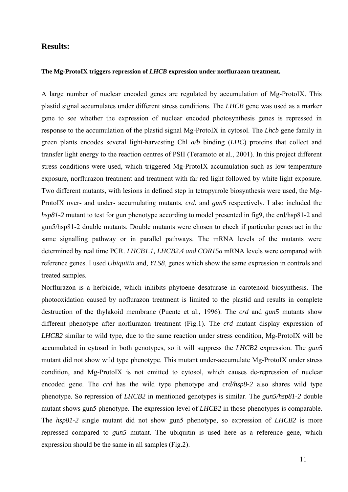# **Results:**

#### **The Mg-ProtoIX triggers repression of** *LHCB* **expression under norflurazon treatment.**

A large number of nuclear encoded genes are regulated by accumulation of Mg-ProtoIX. This plastid signal accumulates under different stress conditions. The *LHCB* gene was used as a marker gene to see whether the expression of nuclear encoded photosynthesis genes is repressed in response to the accumulation of the plastid signal Mg-ProtoIX in cytosol. The *Lhcb* gene family in green plants encodes several light-harvesting Chl *a/b* binding (*LHC*) proteins that collect and transfer light energy to the reaction centres of PSII (Teramoto et al., 2001). In this project different stress conditions were used, which triggered Mg-ProtoIX accumulation such as low temperature exposure, norflurazon treatment and treatment with far red light followed by white light exposure. Two different mutants, with lesions in defined step in tetrapyrrole biosynthesis were used, the Mg-ProtoIX over- and under- accumulating mutants, *crd*, and *gun5* respectively. I also included the *hsp81-2* mutant to test for gun phenotype according to model presented in fig9, the crd/hsp81-2 and gun5/hsp81-2 double mutants. Double mutants were chosen to check if particular genes act in the same signalling pathway or in parallel pathways. The mRNA levels of the mutants were determined by real time PCR. *LHCB1.1, LHCB2.4 and COR15a* mRNA levels were compared with reference genes. I used *Ubiquitin* and, *YLS8*, genes which show the same expression in controls and treated samples.

Norflurazon is a herbicide, which inhibits phytoene desaturase in carotenoid biosynthesis. The photooxidation caused by noflurazon treatment is limited to the plastid and results in complete destruction of the thylakoid membrane (Puente et al., 1996). The *crd* and *gun5* mutants show different phenotype after norflurazon treatment (Fig.1). The *crd* mutant display expression of *LHCB2* similar to wild type, due to the same reaction under stress condition, Mg-ProtoIX will be accumulated in cytosol in both genotypes, so it will suppress the *LHCB2* expression. The *gun5*  mutant did not show wild type phenotype. This mutant under-accumulate Mg-ProtoIX under stress condition, and Mg-ProtoIX is not emitted to cytosol, which causes de-repression of nuclear encoded gene. The *crd* has the wild type phenotype and *crd/hsp8-2* also shares wild type phenotype. So repression of *LHCB2* in mentioned genotypes is similar. The *gun5/hsp81-2* double mutant shows gun5 phenotype. The expression level of *LHCB2* in those phenotypes is comparable. The *hsp81-2* single mutant did not show gun5 phenotype, so expression of *LHCB2* is more repressed compared to *gun5* mutant. The ubiquitin is used here as a reference gene, which expression should be the same in all samples (Fig.2).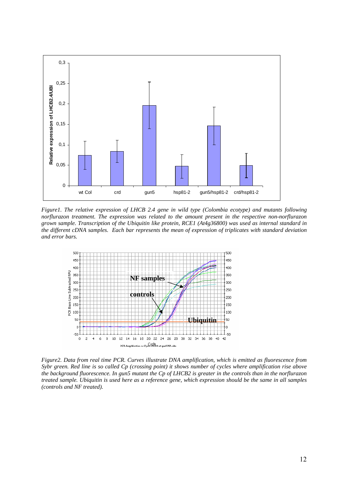

*Figure1. The relative expression of LHCB 2.4 gene in wild type (Colombia ecotype) and mutants following norflurazon treatment. The expression was related to the amount present in the respective non-norflurazon grown sample. Transcription of the Ubiquitin like protein, RCE1 (At4g36800) was used as internal standard in the different cDNA samples. Each bar represents the mean of expression of triplicates with standard deviation and error bars.* 



*Figure2. Data from real time PCR. Curves illustrate DNA amplification, which is emitted as fluorescence from Sybr green. Red line is so called Cp (crossing point) it shows number of cycles where amplification rise above the background fluorescence. In gun5 mutant the Cp of LHCB2 is greater in the controls than in the norflurazon treated sample. Ubiquitin is used here as a reference gene, which expression should be the same in all samples (controls and NF treated).*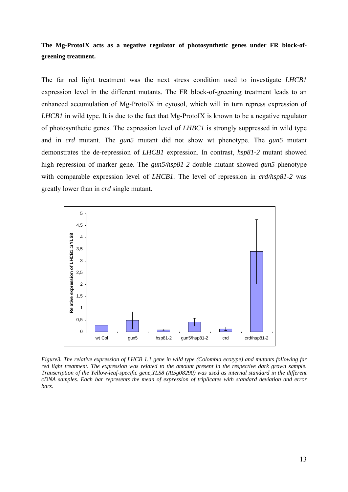**The Mg-ProtoIX acts as a negative regulator of photosynthetic genes under FR block-ofgreening treatment.** 

The far red light treatment was the next stress condition used to investigate *LHCB1* expression level in the different mutants. The FR block-of-greening treatment leads to an enhanced accumulation of Mg-ProtoIX in cytosol, which will in turn repress expression of *LHCB1* in wild type. It is due to the fact that Mg-ProtoIX is known to be a negative regulator of photosynthetic genes. The expression level of *LHBC1* is strongly suppressed in wild type and in *crd* mutant. The *gun5* mutant did not show wt phenotype. The *gun5* mutant demonstrates the de-repression of *LHCB1* expression. In contrast, *hsp81-2* mutant showed high repression of marker gene. The *gun5/hsp81-2* double mutant showed *gun5* phenotype with comparable expression level of *LHCB1.* The level of repression in *crd/hsp81-2* was greatly lower than in *crd* single mutant.



*Figure3. The relative expression of LHCB 1.1 gene in wild type (Colombia ecotype) and mutants following far red light treatment. The expression was related to the amount present in the respective dark grown sample. Transcription of the Yellow-leaf-specific gene,YLS8 (At5g08290) was used as internal standard in the different cDNA samples. Each bar represents the mean of expression of triplicates with standard deviation and error bars.*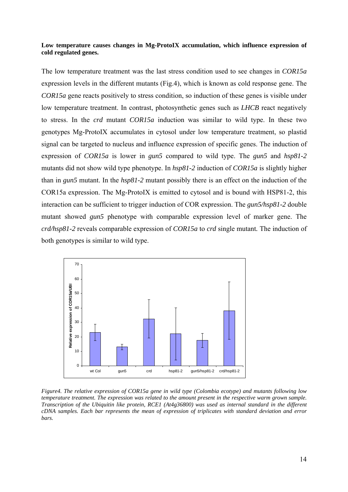### **Low temperature causes changes in Mg-ProtoIX accumulation, which influence expression of cold regulated genes.**

The low temperature treatment was the last stress condition used to see changes in *COR15a* expression levels in the different mutants (Fig.4), which is known as cold response gene. The *COR15a* gene reacts positively to stress condition, so induction of these genes is visible under low temperature treatment. In contrast, photosynthetic genes such as *LHCB* react negatively to stress. In the *crd* mutant *COR15a* induction was similar to wild type. In these two genotypes Mg-ProtoIX accumulates in cytosol under low temperature treatment, so plastid signal can be targeted to nucleus and influence expression of specific genes. The induction of expression of *COR15a* is lower in *gun5* compared to wild type. The *gun5* and *hsp81-2* mutants did not show wild type phenotype. In *hsp81-2* induction of *COR15a* is slightly higher than in *gun5* mutant. In the *hsp81-2* mutant possibly there is an effect on the induction of the COR15a expression. The Mg-ProtoIX is emitted to cytosol and is bound with HSP81-2, this interaction can be sufficient to trigger induction of COR expression. The *gun5/hsp81-2* double mutant showed *gun5* phenotype with comparable expression level of marker gene. The *crd/hsp81-2* reveals comparable expression of *COR15a* to *crd* single mutant*.* The induction of both genotypes is similar to wild type.



*Figure4. The relative expression of COR15a gene in wild type (Colombia ecotype) and mutants following low temperature treatment. The expression was related to the amount present in the respective warm grown sample. Transcription of the Ubiquitin like protein, RCE1 (At4g36800) was used as internal standard in the different cDNA samples. Each bar represents the mean of expression of triplicates with standard deviation and error bars.*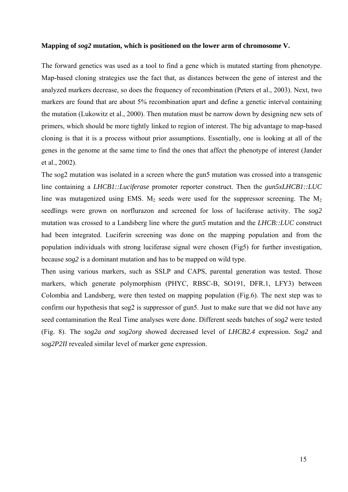#### **Mapping of** *sog2* **mutation, which is positioned on the lower arm of chromosome V.**

The forward genetics was used as a tool to find a gene which is mutated starting from phenotype. Map-based cloning strategies use the fact that, as distances between the gene of interest and the analyzed markers decrease, so does the frequency of recombination (Peters et al., 2003). Next, two markers are found that are about 5% recombination apart and define a genetic interval containing the mutation (Lukowitz et al., 2000). Then mutation must be narrow down by designing new sets of primers, which should be more tightly linked to region of interest. The big advantage to map-based cloning is that it is a process without prior assumptions. Essentially, one is looking at all of the genes in the genome at the same time to find the ones that affect the phenotype of interest (Jander et al., 2002).

The sog2 mutation was isolated in a screen where the gun5 mutation was crossed into a transgenic line containing a *LHCB1::Luciferase* promoter reporter construct. Then the *gun5xLHCB1::LUC* line was mutagenized using EMS.  $M_2$  seeds were used for the suppressor screening. The  $M_2$ seedlings were grown on norflurazon and screened for loss of luciferase activity. The *sog2* mutation was crossed to a Landsberg line where the *gun5* mutation and the *LHCB::LUC* construct had been integrated. Luciferin screening was done on the mapping population and from the population individuals with strong luciferase signal were chosen (Fig5) for further investigation, because *sog2* is a dominant mutation and has to be mapped on wild type.

Then using various markers, such as SSLP and CAPS, parental generation was tested. Those markers, which generate polymorphism (PHYC, RBSC-B, SO191, DFR.1, LFY3) between Colombia and Landsberg, were then tested on mapping population (Fig.6). The next step was to confirm our hypothesis that sog2 is suppressor of gun5. Just to make sure that we did not have any seed contamination the Real Time analyses were done. Different seeds batches of *sog2* were tested (Fig. 8). The *sog2a and sog2org* showed decreased level of *LHCB2.4* expression. *Sog2* and *sog2P2II* revealed similar level of marker gene expression.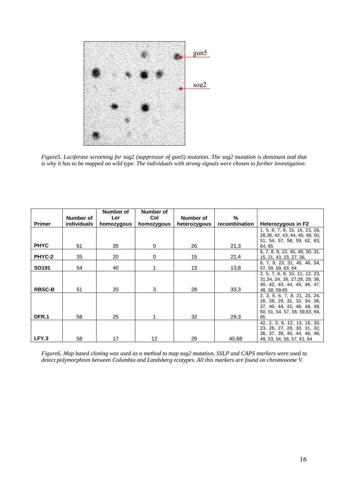

*Figure5. Luciferase screening for sog2 (suppressor of gun5) mutation. The sog2 mutation is dominant and that is why it has to be mapped on wild type. The individuals with strong signals were chosen to further investigation.* 

|                   | Number of          | Number of<br>Ler | Number of<br>Col | Number of    | %             |                                                                |
|-------------------|--------------------|------------------|------------------|--------------|---------------|----------------------------------------------------------------|
| <b>Primer</b>     | <b>individuals</b> | homozygous       | homozygous       | heterozygous | recombination | Heterozygous in F2                                             |
|                   |                    |                  |                  |              |               | 1, 5, 6, 7, 8, 15, 16, 23, 26,                                 |
|                   |                    |                  |                  |              |               | 28, 36, 42, 43, 44, 45, 49, 50,                                |
|                   |                    |                  |                  |              |               | 51, 54, 57, 58, 59, 62, 63,                                    |
| <b>PHYC</b>       | 61                 | 35               | $\Omega$         | 26           | 21,3          | 64, 65                                                         |
| PHYC-2            | 35                 | 20               | $\Omega$         | 15           | 21,4          | 6, 7, 8, 9, 10, 45, 49, 50, 31,<br>15, 21, 43, 23, 27, 36,     |
|                   |                    |                  |                  |              |               | 6, 7, 8, 23, 31, 45, 46, 54,                                   |
| SO <sub>191</sub> | 54                 | 40               |                  | 13           | 13,8          | 57, 58, 59, 63, 64                                             |
|                   |                    |                  |                  |              |               | 2, 5, 7, 6, 8, 10, 11, 12, 23,                                 |
|                   |                    |                  |                  |              |               | 31, 34, 24, 26, 27, 28, 29, 36,                                |
|                   |                    |                  |                  |              |               | 40, 42, 43, 44, 45, 46, 47,                                    |
| <b>RBSC-B</b>     | 51                 | 20               | 3                | 28           | 33,3          | 48, 58, 59, 65                                                 |
|                   |                    |                  |                  |              |               | 2, 3, 5, 6, 7, 8, 21, 23, 24,                                  |
|                   |                    |                  |                  |              |               | 26, 28, 29, 31, 32, 34, 36,                                    |
|                   |                    |                  |                  |              |               | 37, 40, 44, 45, 46, 48, 49,<br>50, 51, 54, 57, 58, 59, 63, 64, |
| DFR.1             | 58                 | 25               |                  | 32           | 29,3          | 65                                                             |
|                   |                    |                  |                  |              |               | 42, 2, 3, 6, 12, 13, 18, 20,                                   |
|                   |                    |                  |                  |              |               | 23, 26, 27, 28, 30, 31, 32,                                    |
|                   |                    |                  |                  |              |               | 36, 37, 39, 40, 44, 46, 48,                                    |
| LFY.3             | 58                 | 17               | 12               | 29           | 45,68         | 49, 53, 54, 56, 57, 61, 64                                     |

*Figure6. Map based cloning was used as a method to map sog2 mutation. SSLP and CAPS markers were used to detect polymorphism between Columbia and Landsberg ecotypes. All this markers are found on chromosome V.*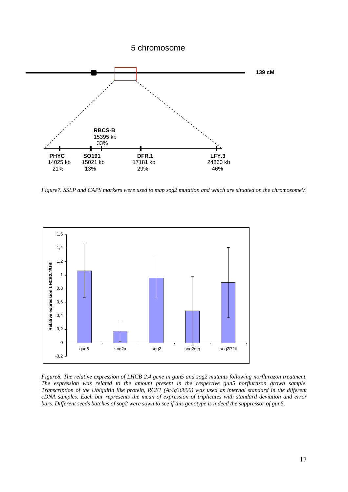# 5 chromosome



*Figure7. SSLP and CAPS markers were used to map sog2 mutation and which are situated on the chromosomeV*.



*Figure8. The relative expression of LHCB 2.4 gene in gun5 and sog2 mutants following norflurazon treatment. The expression was related to the amount present in the respective gun5 norflurazon grown sample. Transcription of the Ubiquitin like protein, RCE1 (At4g36800) was used as internal standard in the different cDNA samples. Each bar represents the mean of expression of triplicates with standard deviation and error bars. Different seeds batches of sog2 were sown to see if this genotype is indeed the suppressor of gun5.*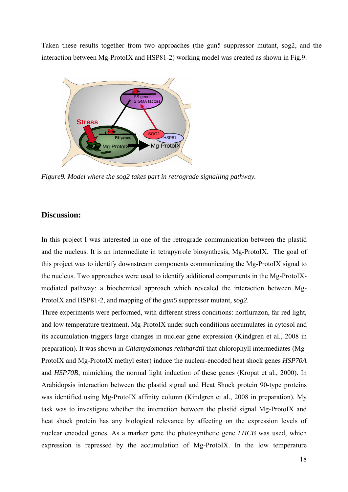Taken these results together from two approaches (the gun5 suppressor mutant, sog2, and the interaction between Mg-ProtoIX and HSP81-2) working model was created as shown in Fig.9.



*Figure9. Model where the sog2 takes part in retrograde signalling pathway.* 

# **Discussion:**

In this project I was interested in one of the retrograde communication between the plastid and the nucleus. It is an intermediate in tetrapyrrole biosynthesis, Mg-ProtoIX. The goal of this project was to identify downstream components communicating the Mg-ProtoIX signal to the nucleus. Two approaches were used to identify additional components in the Mg-ProtoIXmediated pathway: a biochemical approach which revealed the interaction between Mg-ProtoIX and HSP81-2, and mapping of the *gun5* suppressor mutant, *sog2*.

Three experiments were performed, with different stress conditions: norflurazon, far red light, and low temperature treatment. Mg-ProtoIX under such conditions accumulates in cytosol and its accumulation triggers large changes in nuclear gene expression (Kindgren et al., 2008 in preparation). It was shown in *Chlamydomonas reinhardtii* that chlorophyll intermediates (Mg-ProtoIX and Mg-ProtoIX methyl ester) induce the nuclear-encoded heat shock genes *HSP70A* and *HSP70B*, mimicking the normal light induction of these genes (Kropat et al., 2000). In Arabidopsis interaction between the plastid signal and Heat Shock protein 90-type proteins was identified using Mg-ProtoIX affinity column (Kindgren et al., 2008 in preparation). My task was to investigate whether the interaction between the plastid signal Mg-ProtoIX and heat shock protein has any biological relevance by affecting on the expression levels of nuclear encoded genes. As a marker gene the photosynthetic gene *LHCB* was used, which expression is repressed by the accumulation of Mg-ProtoIX. In the low temperature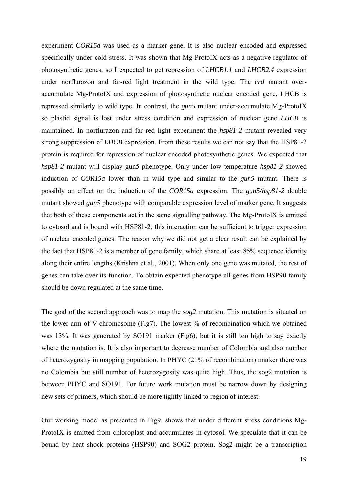experiment *COR15a* was used as a marker gene. It is also nuclear encoded and expressed specifically under cold stress. It was shown that Mg-ProtoIX acts as a negative regulator of photosynthetic genes, so I expected to get repression of *LHCB1.1* and *LHCB2.4* expression under norflurazon and far-red light treatment in the wild type. The *crd* mutant overaccumulate Mg-ProtoIX and expression of photosynthetic nuclear encoded gene, LHCB is repressed similarly to wild type. In contrast, the *gun5* mutant under-accumulate Mg-ProtoIX so plastid signal is lost under stress condition and expression of nuclear gene *LHCB* is maintained. In norflurazon and far red light experiment the *hsp81-2* mutant revealed very strong suppression of *LHCB* expression. From these results we can not say that the HSP81-2 protein is required for repression of nuclear encoded photosynthetic genes. We expected that *hsp81-2* mutant will display gun5 phenotype. Only under low temperature *hsp81-2* showed induction of *COR15a* lower than in wild type and similar to the *gun5* mutant. There is possibly an effect on the induction of the *COR15a* expression. The *gun5/hsp81-2* double mutant showed *gun5* phenotype with comparable expression level of marker gene. It suggests that both of these components act in the same signalling pathway. The Mg-ProtoIX is emitted to cytosol and is bound with HSP81-2, this interaction can be sufficient to trigger expression of nuclear encoded genes. The reason why we did not get a clear result can be explained by the fact that HSP81-2 is a member of gene family, which share at least 85% sequence identity along their entire lengths (Krishna et al., 2001). When only one gene was mutated, the rest of genes can take over its function. To obtain expected phenotype all genes from HSP90 family should be down regulated at the same time.

The goal of the second approach was to map the *sog2* mutation. This mutation is situated on the lower arm of V chromosome (Fig7). The lowest % of recombination which we obtained was 13%. It was generated by SO191 marker (Fig6), but it is still too high to say exactly where the mutation is. It is also important to decrease number of Colombia and also number of heterozygosity in mapping population. In PHYC (21% of recombination) marker there was no Colombia but still number of heterozygosity was quite high. Thus, the sog2 mutation is between PHYC and SO191. For future work mutation must be narrow down by designing new sets of primers, which should be more tightly linked to region of interest.

Our working model as presented in Fig9. shows that under different stress conditions Mg-ProtoIX is emitted from chloroplast and accumulates in cytosol. We speculate that it can be bound by heat shock proteins (HSP90) and SOG2 protein. Sog2 might be a transcription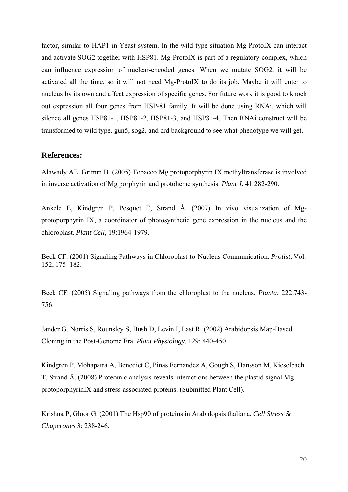factor, similar to HAP1 in Yeast system. In the wild type situation Mg-ProtoIX can interact and activate SOG2 together with HSP81. Mg-ProtoIX is part of a regulatory complex, which can influence expression of nuclear-encoded genes. When we mutate SOG2, it will be activated all the time, so it will not need Mg-ProtoIX to do its job. Maybe it will enter to nucleus by its own and affect expression of specific genes. For future work it is good to knock out expression all four genes from HSP-81 family. It will be done using RNAi, which will silence all genes HSP81-1, HSP81-2, HSP81-3, and HSP81-4. Then RNAi construct will be transformed to wild type, gun5, sog2, and crd background to see what phenotype we will get.

# **References:**

Alawady AE, Grimm B. (2005) Tobacco Mg protoporphyrin IX methyltransferase is involved in inverse activation of Mg porphyrin and protoheme synthesis. *Plant J*, 41:282-290.

Ankele E, Kindgren P, Pesquet E, Strand Å. (2007) In vivo visualization of Mgprotoporphyrin IX, a coordinator of photosynthetic gene expression in the nucleus and the chloroplast. *Plant Cell*, 19:1964-1979.

Beck CF. (2001) Signaling Pathways in Chloroplast-to-Nucleus Communication. *Protist*, Vol. 152, 175–182.

Beck CF. (2005) Signaling pathways from the chloroplast to the nucleus. *Planta*, 222:743- 756.

Jander G, Norris S, Rounsley S, Bush D, Levin I, Last R. (2002) Arabidopsis Map-Based Cloning in the Post-Genome Era. *Plant Physiology*, 129: 440-450.

Kindgren P, Mohapatra A, Benedict C, Pinas Fernandez A, Gough S, Hansson M, Kieselbach T, Strand Å. (2008) Proteomic analysis reveals interactions between the plastid signal MgprotoporphyrinIX and stress-associated proteins. (Submitted Plant Cell).

Krishna P, Gloor G. (2001) The Hsp90 of proteins in Arabidopsis thaliana. *Cell Stress & Chaperones* 3: 238-246.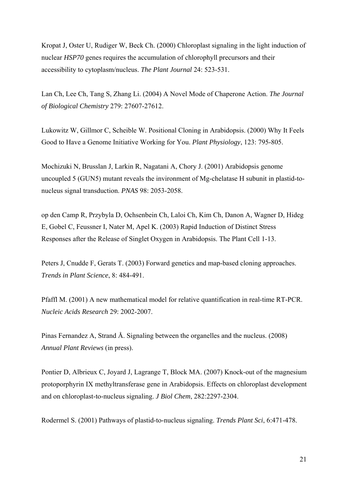Kropat J, Oster U, Rudiger W, Beck Ch. (2000) Chloroplast signaling in the light induction of nuclear *HSP70* genes requires the accumulation of chlorophyll precursors and their accessibility to cytoplasm/nucleus. *The Plant Journal* 24: 523-531.

Lan Ch, Lee Ch, Tang S, Zhang Li. (2004) A Novel Mode of Chaperone Action. *The Journal of Biological Chemistry* 279: 27607-27612.

Lukowitz W, Gillmor C, Scheible W. Positional Cloning in Arabidopsis. (2000) Why It Feels Good to Have a Genome Initiative Working for You. *Plant Physiology*, 123: 795-805.

Mochizuki N, Brusslan J, Larkin R, Nagatani A, Chory J. (2001) Arabidopsis genome uncoupled 5 (GUN5) mutant reveals the invironment of Mg-chelatase H subunit in plastid-tonucleus signal transduction. *PNAS* 98: 2053-2058.

op den Camp R, Przybyla D, Ochsenbein Ch, Laloi Ch, Kim Ch, Danon A, Wagner D, Hideg E, Gobel C, Feussner I, Nater M, Apel K. (2003) Rapid Induction of Distinct Stress Responses after the Release of Singlet Oxygen in Arabidopsis. The Plant Cell 1-13.

Peters J, Cnudde F, Gerats T. (2003) Forward genetics and map-based cloning approaches. *Trends in Plant Science*, 8: 484-491.

Pfaffl M. (2001) A new mathematical model for relative quantification in real-time RT-PCR. *Nucleic Acids Research* 29: 2002-2007.

Pinas Fernandez A, Strand Å. Signaling between the organelles and the nucleus. (2008) *Annual Plant Reviews* (in press).

Pontier D, Albrieux C, Joyard J, Lagrange T, Block MA. (2007) Knock-out of the magnesium protoporphyrin IX methyltransferase gene in Arabidopsis. Effects on chloroplast development and on chloroplast-to-nucleus signaling. *J Biol Chem*, 282:2297-2304.

Rodermel S. (2001) Pathways of plastid-to-nucleus signaling. *Trends Plant Sci*, 6:471-478.